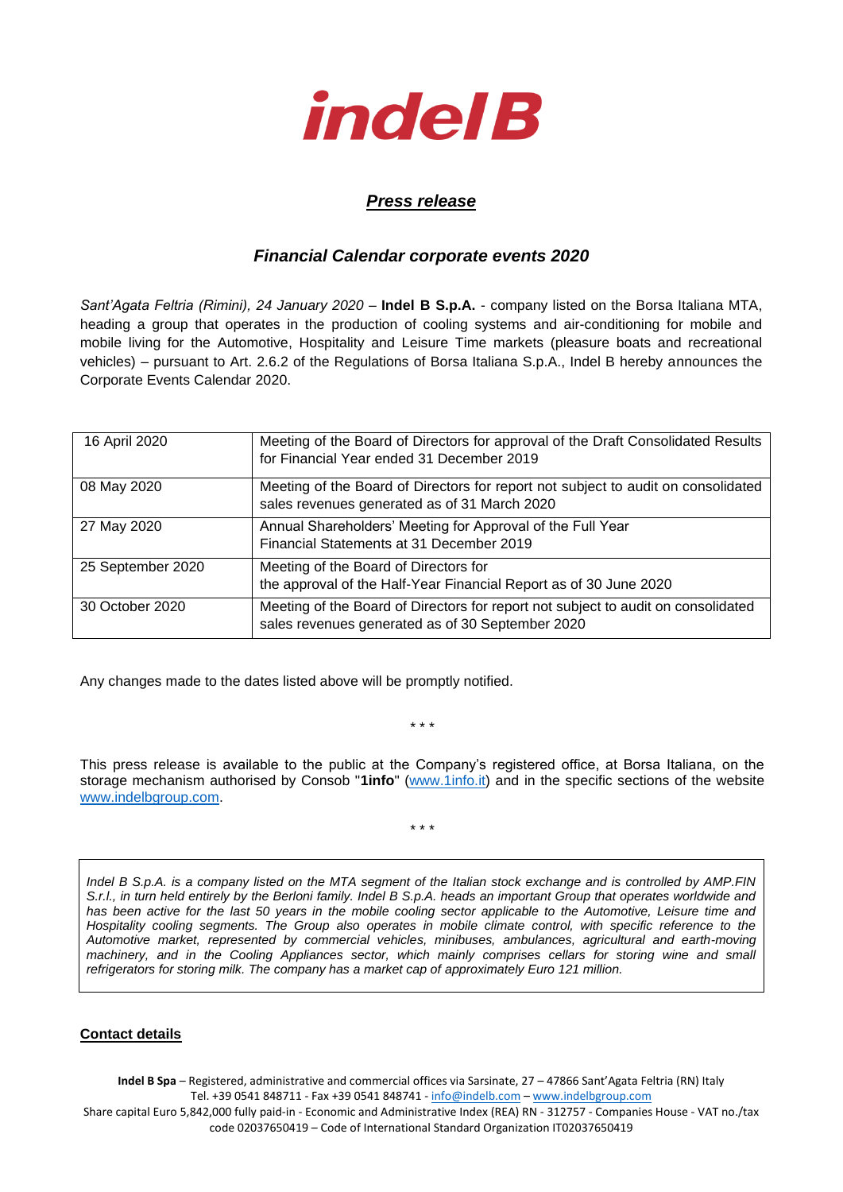

## *Press release*

## *Financial Calendar corporate events 2020*

*Sant'Agata Feltria (Rimini), 24 January 2020* – **Indel B S.p.A.** - company listed on the Borsa Italiana MTA, heading a group that operates in the production of cooling systems and air-conditioning for mobile and mobile living for the Automotive, Hospitality and Leisure Time markets (pleasure boats and recreational vehicles) – pursuant to Art. 2.6.2 of the Regulations of Borsa Italiana S.p.A., Indel B hereby announces the Corporate Events Calendar 2020.

| 16 April 2020     | Meeting of the Board of Directors for approval of the Draft Consolidated Results<br>for Financial Year ended 31 December 2019         |
|-------------------|---------------------------------------------------------------------------------------------------------------------------------------|
| 08 May 2020       | Meeting of the Board of Directors for report not subject to audit on consolidated<br>sales revenues generated as of 31 March 2020     |
| 27 May 2020       | Annual Shareholders' Meeting for Approval of the Full Year<br>Financial Statements at 31 December 2019                                |
| 25 September 2020 | Meeting of the Board of Directors for<br>the approval of the Half-Year Financial Report as of 30 June 2020                            |
| 30 October 2020   | Meeting of the Board of Directors for report not subject to audit on consolidated<br>sales revenues generated as of 30 September 2020 |

Any changes made to the dates listed above will be promptly notified.

This press release is available to the public at the Company's registered office, at Borsa Italiana, on the storage mechanism authorised by Consob "**1info**" [\(www.1info.it\)](file:///C:/Users/ddelietovollaro/AppData/Local/Microsoft/Windows/INetCache/Content.Outlook/T87B94UR/www.1info.it) and in the specific sections of the website [www.indelbgroup.com.](http://www.indelbgroup.com/)

\* \* \*

\* \* \*

*Indel B S.p.A. is a company listed on the MTA segment of the Italian stock exchange and is controlled by AMP.FIN S.r.l., in turn held entirely by the Berloni family. Indel B S.p.A. heads an important Group that operates worldwide and has been active for the last 50 years in the mobile cooling sector applicable to the Automotive, Leisure time and Hospitality cooling segments. The Group also operates in mobile climate control, with specific reference to the Automotive market, represented by commercial vehicles, minibuses, ambulances, agricultural and earth-moving machinery, and in the Cooling Appliances sector, which mainly comprises cellars for storing wine and small refrigerators for storing milk. The company has a market cap of approximately Euro 121 million.*

## **Contact details**

**Indel B Spa** – Registered, administrative and commercial offices via Sarsinate, 27 – 47866 Sant'Agata Feltria (RN) Italy Tel. +39 0541 848711 - Fax +39 0541 848741 - [info@indelb.com](mailto:info@indelb.com) – [www.indelbgroup.com](http://www.indelbgroup.com/) Share capital Euro 5,842,000 fully paid-in - Economic and Administrative Index (REA) RN - 312757 - Companies House - VAT no./tax code 02037650419 – Code of International Standard Organization IT02037650419